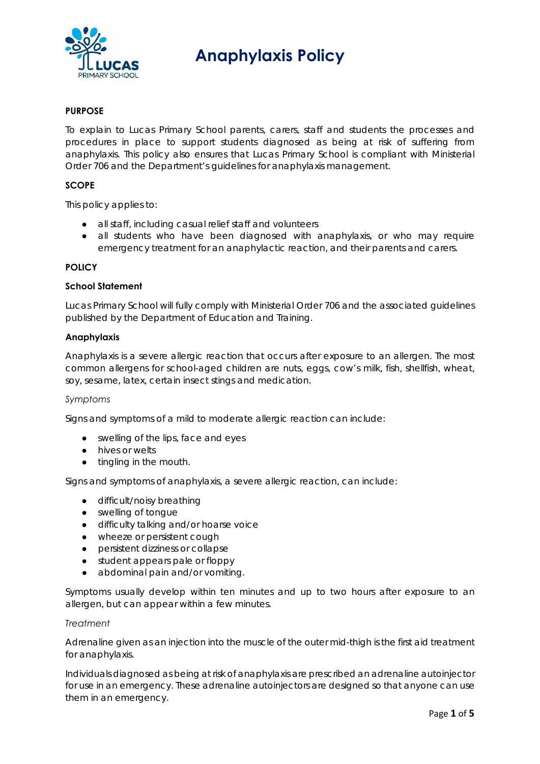

# **Anaphylaxis Policy**

## **PURPOSE**

To explain to Lucas Primary School parents, carers, staff and students the processes and procedures in place to support students diagnosed as being at risk of suffering from anaphylaxis. This policy also ensures that Lucas Primary School is compliant with Ministerial Order 706 and the Department's guidelines for anaphylaxis management.

#### **SCOPE**

This policy applies to:

- all staff, including casual relief staff and volunteers
- all students who have been diagnosed with anaphylaxis, or who may require emergency treatment for an anaphylactic reaction, and their parents and carers.

#### **POLICY**

#### **School Statement**

Lucas Primary School will fully comply with Ministerial Order 706 and the associated guidelines published by the Department of Education and Training.

#### **Anaphylaxis**

Anaphylaxis is a severe allergic reaction that occurs after exposure to an allergen. The most common allergens for school-aged children are nuts, eggs, cow's milk, fish, shellfish, wheat, soy, sesame, latex, certain insect stings and medication.

#### *Symptoms*

Signs and symptoms of a mild to moderate allergic reaction can include:

- swelling of the lips, face and eyes
- hives or welts
- tingling in the mouth.

Signs and symptoms of anaphylaxis, a severe allergic reaction, can include:

- difficult/noisy breathing
- swelling of tongue
- difficulty talking and/or hoarse voice
- wheeze or persistent cough
- persistent dizziness or collapse
- student appears pale or floppy
- abdominal pain and/or vomiting.

Symptoms usually develop within ten minutes and up to two hours after exposure to an allergen, but can appear within a few minutes.

#### *Treatment*

Adrenaline given as an injection into the muscle of the outer mid-thigh is the first aid treatment for anaphylaxis.

Individuals diagnosed as being at risk of anaphylaxis are prescribed an adrenaline autoinjector for use in an emergency. These adrenaline autoinjectors are designed so that anyone can use them in an emergency.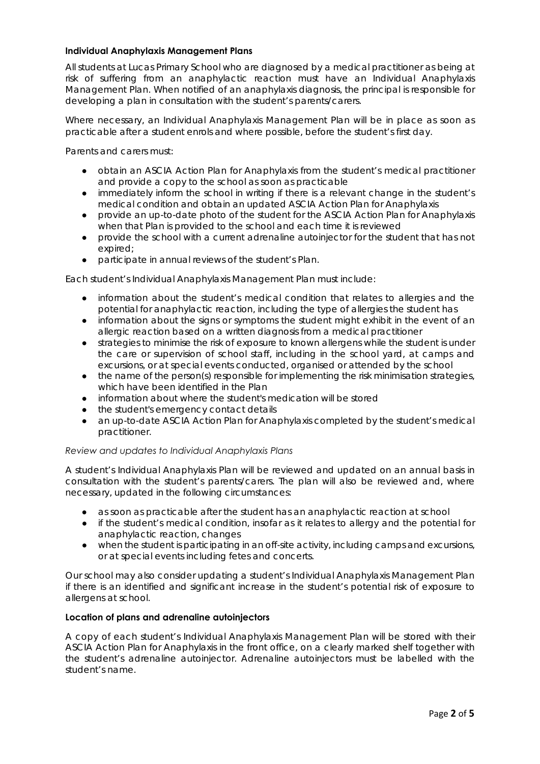## **Individual Anaphylaxis Management Plans**

All students at Lucas Primary School who are diagnosed by a medical practitioner as being at risk of suffering from an anaphylactic reaction must have an Individual Anaphylaxis Management Plan. When notified of an anaphylaxis diagnosis, the principal is responsible for developing a plan in consultation with the student's parents/carers.

Where necessary, an Individual Anaphylaxis Management Plan will be in place as soon as practicable after a student enrols and where possible, before the student's first day.

Parents and carers must:

- obtain an ASCIA Action Plan for Anaphylaxis from the student's medical practitioner and provide a copy to the school as soon as practicable
- immediately inform the school in writing if there is a relevant change in the student's medical condition and obtain an updated ASCIA Action Plan for Anaphylaxis
- provide an up-to-date photo of the student for the ASCIA Action Plan for Anaphylaxis when that Plan is provided to the school and each time it is reviewed
- provide the school with a current adrenaline autoinjector for the student that has not expired;
- participate in annual reviews of the student's Plan.

Each student's Individual Anaphylaxis Management Plan must include:

- information about the student's medical condition that relates to allergies and the potential for anaphylactic reaction, including the type of allergies the student has
- information about the signs or symptoms the student might exhibit in the event of an allergic reaction based on a written diagnosis from a medical practitioner
- strategies to minimise the risk of exposure to known allergens while the student is under the care or supervision of school staff, including in the school yard, at camps and excursions, or at special events conducted, organised or attended by the school
- the name of the person(s) responsible for implementing the risk minimisation strategies, which have been identified in the Plan
- information about where the student's medication will be stored
- the student's emergency contact details
- an up-to-date ASCIA Action Plan for Anaphylaxis completed by the student's medical practitioner.

#### *Review and updates to Individual Anaphylaxis Plans*

A student's Individual Anaphylaxis Plan will be reviewed and updated on an annual basis in consultation with the student's parents/carers. The plan will also be reviewed and, where necessary, updated in the following circumstances:

- as soon as practicable after the student has an anaphylactic reaction at school
- if the student's medical condition, insofar as it relates to allergy and the potential for anaphylactic reaction, changes
- when the student is participating in an off-site activity, including camps and excursions, or at special events including fetes and concerts.

Our school may also consider updating a student's Individual Anaphylaxis Management Plan if there is an identified and significant increase in the student's potential risk of exposure to allergens at school.

## **Location of plans and adrenaline autoinjectors**

A copy of each student's Individual Anaphylaxis Management Plan will be stored with their ASCIA Action Plan for Anaphylaxis in the front office, on a clearly marked shelf together with the student's adrenaline autoinjector. Adrenaline autoinjectors must be labelled with the student's name.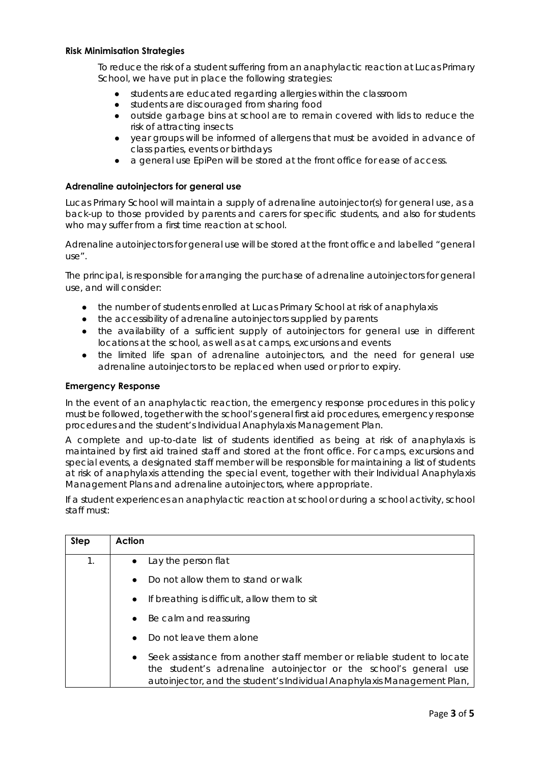#### **Risk Minimisation Strategies**

To reduce the risk of a student suffering from an anaphylactic reaction at Lucas Primary School, we have put in place the following strategies:

- students are educated regarding allergies within the classroom
- students are discouraged from sharing food
- outside garbage bins at school are to remain covered with lids to reduce the risk of attracting insects
- year groups will be informed of allergens that must be avoided in advance of class parties, events or birthdays
- a general use EpiPen will be stored at the front office for ease of access.

## **Adrenaline autoinjectors for general use**

Lucas Primary School will maintain a supply of adrenaline autoinjector(s) for general use, as a back-up to those provided by parents and carers for specific students, and also for students who may suffer from a first time reaction at school.

Adrenaline autoinjectors for general use will be stored at the front office and labelled "general use".

The principal, is responsible for arranging the purchase of adrenaline autoinjectors for general use, and will consider:

- the number of students enrolled at Lucas Primary School at risk of anaphylaxis
- the accessibility of adrenaline autoinjectors supplied by parents
- the availability of a sufficient supply of autoinjectors for general use in different locations at the school, as well as at camps, excursions and events
- the limited life span of adrenaline autoinjectors, and the need for general use adrenaline autoinjectors to be replaced when used or prior to expiry.

#### **Emergency Response**

In the event of an anaphylactic reaction, the emergency response procedures in this policy must be followed, together with the school's general first aid procedures, emergency response procedures and the student's Individual Anaphylaxis Management Plan.

A complete and up-to-date list of students identified as being at risk of anaphylaxis is maintained by first aid trained staff and stored at the front office. For camps, excursions and special events, a designated staff member will be responsible for maintaining a list of students at risk of anaphylaxis attending the special event, together with their Individual Anaphylaxis Management Plans and adrenaline autoinjectors, where appropriate.

If a student experiences an anaphylactic reaction at school or during a school activity, school staff must:

| <b>Step</b>   | Action                                                                                                                                                                                                                               |
|---------------|--------------------------------------------------------------------------------------------------------------------------------------------------------------------------------------------------------------------------------------|
| $\mathbf 1$ . | Lay the person flat<br>$\bullet$                                                                                                                                                                                                     |
|               | Do not allow them to stand or walk<br>$\bullet$                                                                                                                                                                                      |
|               | If breathing is difficult, allow them to sit<br>$\bullet$                                                                                                                                                                            |
|               | Be calm and reassuring<br>$\bullet$                                                                                                                                                                                                  |
|               | Do not leave them alone<br>$\bullet$                                                                                                                                                                                                 |
|               | Seek assistance from another staff member or reliable student to locate<br>$\bullet$<br>the student's adrenaline autoinjector or the school's general use<br>autoinjector, and the student's Individual Anaphylaxis Management Plan, |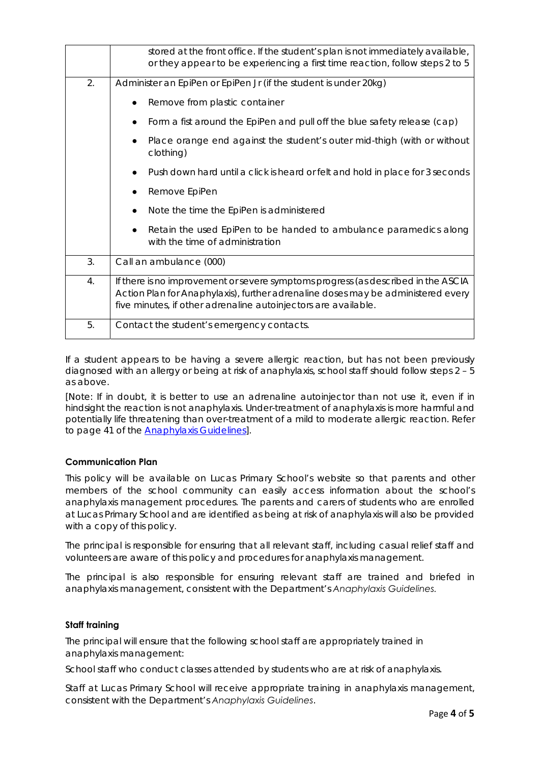|    | stored at the front office. If the student's plan is not immediately available,<br>or they appear to be experiencing a first time reaction, follow steps 2 to 5                                                                         |
|----|-----------------------------------------------------------------------------------------------------------------------------------------------------------------------------------------------------------------------------------------|
| 2. | Administer an EpiPen or EpiPen Jr (if the student is under 20kg)                                                                                                                                                                        |
|    | Remove from plastic container                                                                                                                                                                                                           |
|    | Form a fist around the EpiPen and pull off the blue safety release (cap)                                                                                                                                                                |
|    | Place orange end against the student's outer mid-thigh (with or without<br>clothing)                                                                                                                                                    |
|    | Push down hard until a click is heard or felt and hold in place for 3 seconds                                                                                                                                                           |
|    | Remove EpiPen                                                                                                                                                                                                                           |
|    | Note the time the EpiPen is administered                                                                                                                                                                                                |
|    | Retain the used EpiPen to be handed to ambulance paramedics along<br>with the time of administration                                                                                                                                    |
| 3. | Call an ambulance (000)                                                                                                                                                                                                                 |
| 4. | If there is no improvement or severe symptoms progress (as described in the ASCIA<br>Action Plan for Anaphylaxis), further adrenaline doses may be administered every<br>five minutes, if other adrenaline autoinjectors are available. |
| 5. | Contact the student's emergency contacts.                                                                                                                                                                                               |

If a student appears to be having a severe allergic reaction, but has not been previously diagnosed with an allergy or being at risk of anaphylaxis, school staff should follow steps 2 – 5 as above.

[Note: If in doubt, it is better to use an adrenaline autoinjector than not use it, even if in hindsight the reaction is not anaphylaxis. Under-treatment of anaphylaxis is more harmful and potentially life threatening than over-treatment of a mild to moderate allergic reaction. Refer to page 41 of the Anaphylaxis Guidelines].

# **Communication Plan**

This policy will be available on Lucas Primary School's website so that parents and other members of the school community can easily access information about the school's anaphylaxis management procedures. The parents and carers of students who are enrolled at Lucas Primary School and are identified as being at risk of anaphylaxis will also be provided with a copy of this policy.

The principal is responsible for ensuring that all relevant staff, including casual relief staff and volunteers are aware of this policy and procedures for anaphylaxis management.

The principal is also responsible for ensuring relevant staff are trained and briefed in anaphylaxis management, consistent with the Department's *Anaphylaxis Guidelines.*

#### **Staff training**

The principal will ensure that the following school staff are appropriately trained in anaphylaxis management:

School staff who conduct classes attended by students who are at risk of anaphylaxis.

Staff at Lucas Primary School will receive appropriate training in anaphylaxis management, consistent with the Department's *Anaphylaxis Guidelines*.